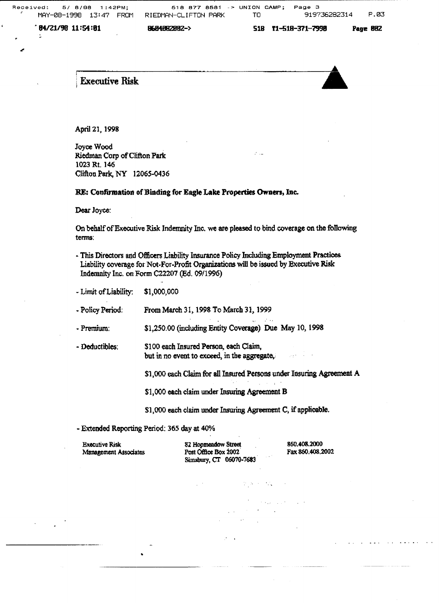$\mathcal{L}_{\text{max}}$ 

SIB rl-51B-371~?99B

 $\sqrt{84}/21/98$  11:54:01 B684B828B2->

**Executive Risk** 



April 21, 1998

Joyce Wood Riedman Corp of Clifton Park 1023 Rt. 146 Clifton Perk, NY 12065-0436

RE: Confirmation of Binding for Eagle Lake Properties Owners, Inc.

Dear Joyce:

On behalf of Executive Risk Indemnity Inc. we are pleased to bind coverage on the following terms:

- This Directors and Officers Liability Insurance Policy Including Employment Practices. Liability coverage for Not-For-Profit Organizations will be issued by Executive Risk Indemnity Inc. on Form C22207 (Ed. 09/1996)
- Limit of Liability: \$1,000,000

- Policy Period: From March 31, 1998 To March 31, 1999

- Premium: \$1,250.00 (including Entity Coverage) Due May 10, 1998

- Deductibles: \$100 each Insured Person, each Claim, but in no event to exceed, in the aggregate,

\$1,000 each Claim for all Insured Persons under Insuring Agreement A

provincias.

and the company

\$1,000 each claim under Insuring Agreement B

- \$1,000 each olaim under Insuring Agreement C, if applicable.
- Extended Reporting Period: 365 day at 40%

Executive Risk Management Associates

82 Hopmeadow Street Post Office Box 2002 Simsbury, CT 06070-7683

860.408.2000 Fax 860.408.2002